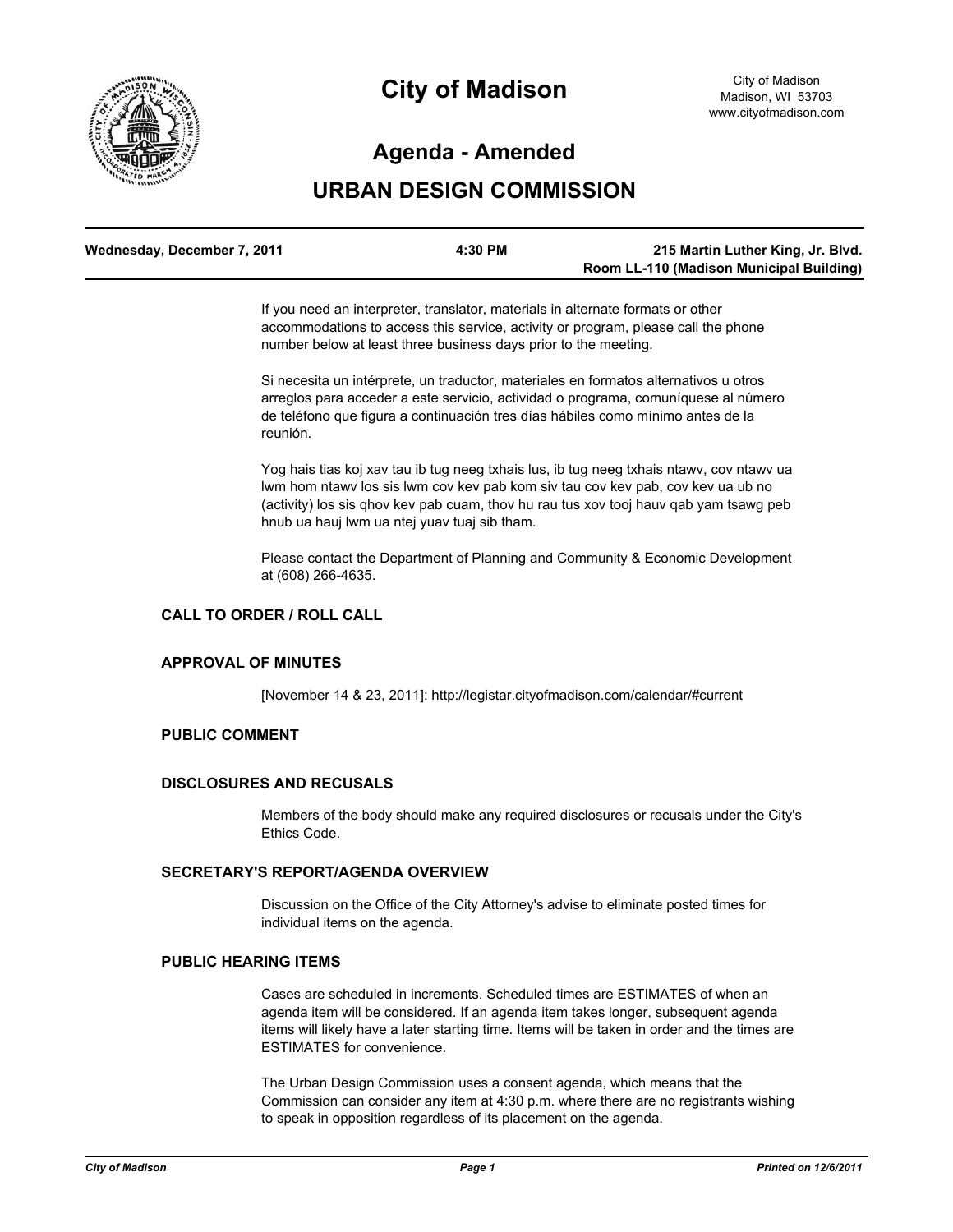

# **City of Madison**

# **Agenda - Amended**

# **URBAN DESIGN COMMISSION**

| Wednesday, December 7, 2011 | 4:30 PM | 215 Martin Luther King, Jr. Blvd.        |
|-----------------------------|---------|------------------------------------------|
|                             |         | Room LL-110 (Madison Municipal Building) |

If you need an interpreter, translator, materials in alternate formats or other accommodations to access this service, activity or program, please call the phone number below at least three business days prior to the meeting.

Si necesita un intérprete, un traductor, materiales en formatos alternativos u otros arreglos para acceder a este servicio, actividad o programa, comuníquese al número de teléfono que figura a continuación tres días hábiles como mínimo antes de la reunión.

Yog hais tias koj xav tau ib tug neeg txhais lus, ib tug neeg txhais ntawv, cov ntawv ua lwm hom ntawv los sis lwm cov kev pab kom siv tau cov kev pab, cov kev ua ub no (activity) los sis qhov kev pab cuam, thov hu rau tus xov tooj hauv qab yam tsawg peb hnub ua hauj lwm ua ntej yuav tuaj sib tham.

Please contact the Department of Planning and Community & Economic Development at (608) 266-4635.

# **CALL TO ORDER / ROLL CALL**

#### **APPROVAL OF MINUTES**

[November 14 & 23, 2011]: http://legistar.cityofmadison.com/calendar/#current

#### **PUBLIC COMMENT**

#### **DISCLOSURES AND RECUSALS**

Members of the body should make any required disclosures or recusals under the City's Ethics Code.

## **SECRETARY'S REPORT/AGENDA OVERVIEW**

Discussion on the Office of the City Attorney's advise to eliminate posted times for individual items on the agenda.

#### **PUBLIC HEARING ITEMS**

Cases are scheduled in increments. Scheduled times are ESTIMATES of when an agenda item will be considered. If an agenda item takes longer, subsequent agenda items will likely have a later starting time. Items will be taken in order and the times are ESTIMATES for convenience.

The Urban Design Commission uses a consent agenda, which means that the Commission can consider any item at 4:30 p.m. where there are no registrants wishing to speak in opposition regardless of its placement on the agenda.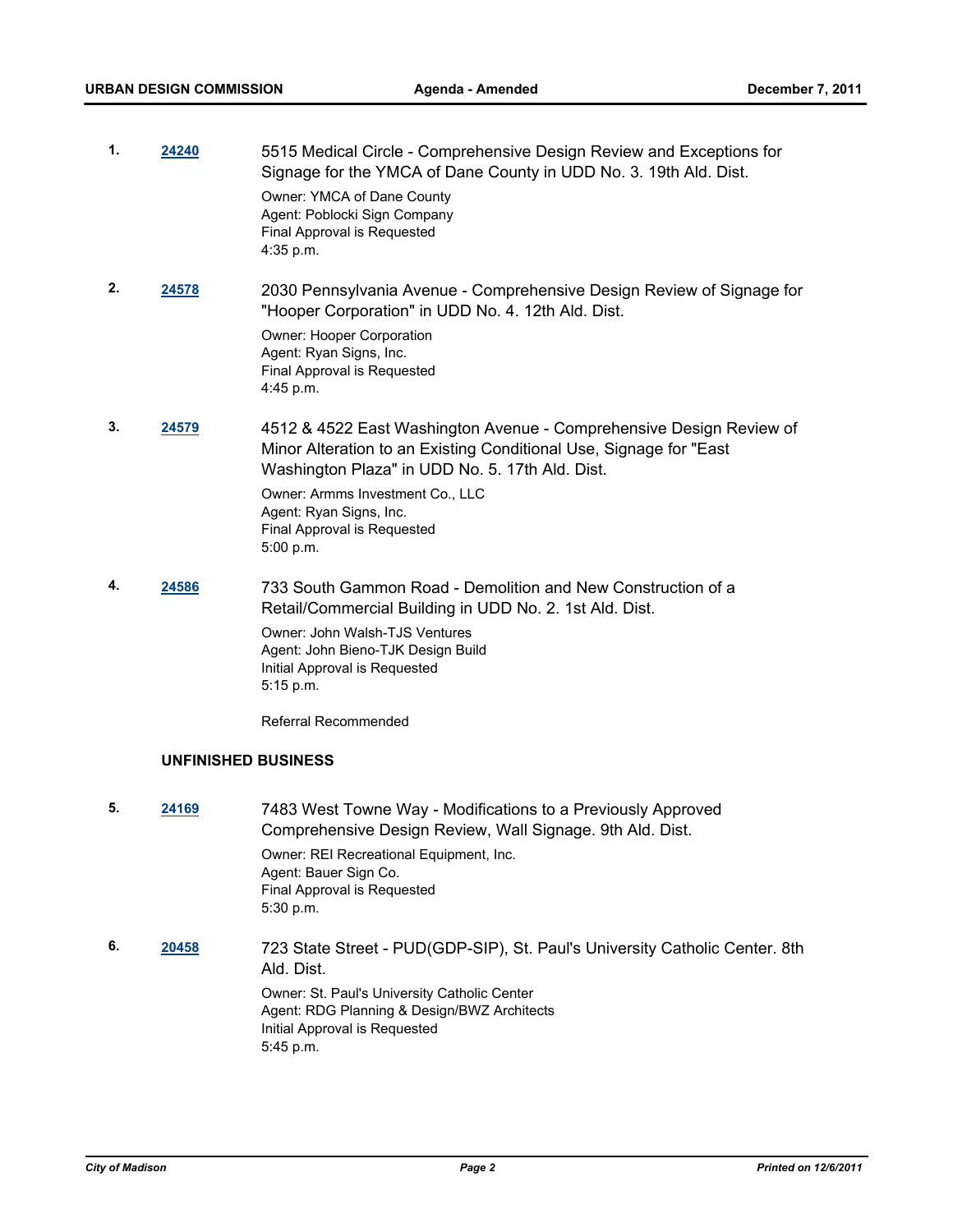| 1. | 24240 | 5515 Medical Circle - Comprehensive Design Review and Exceptions for<br>Signage for the YMCA of Dane County in UDD No. 3. 19th Ald. Dist.<br>Owner: YMCA of Dane County<br>Agent: Poblocki Sign Company<br>Final Approval is Requested<br>4:35 p.m.                                                      |
|----|-------|----------------------------------------------------------------------------------------------------------------------------------------------------------------------------------------------------------------------------------------------------------------------------------------------------------|
| 2. | 24578 | 2030 Pennsylvania Avenue - Comprehensive Design Review of Signage for<br>"Hooper Corporation" in UDD No. 4. 12th Ald. Dist.<br>Owner: Hooper Corporation<br>Agent: Ryan Signs, Inc.<br>Final Approval is Requested<br>4:45 p.m.                                                                          |
| 3. | 24579 | 4512 & 4522 East Washington Avenue - Comprehensive Design Review of<br>Minor Alteration to an Existing Conditional Use, Signage for "East"<br>Washington Plaza" in UDD No. 5. 17th Ald. Dist.<br>Owner: Armms Investment Co., LLC<br>Agent: Ryan Signs, Inc.<br>Final Approval is Requested<br>5:00 p.m. |
| 4. | 24586 | 733 South Gammon Road - Demolition and New Construction of a<br>Retail/Commercial Building in UDD No. 2. 1st Ald. Dist.<br>Owner: John Walsh-TJS Ventures<br>Agent: John Bieno-TJK Design Build<br>Initial Approval is Requested<br>5:15 p.m.                                                            |

Referral Recommended

# **UNFINISHED BUSINESS**

- **5. [24169](http://madison.legistar.com/gateway.aspx?M=L&ID=26650)** 7483 West Towne Way Modifications to a Previously Approved Comprehensive Design Review, Wall Signage. 9th Ald. Dist. Owner: REI Recreational Equipment, Inc. Agent: Bauer Sign Co. Final Approval is Requested 5:30 p.m.
- **6. [20458](http://madison.legistar.com/gateway.aspx?M=L&ID=22664)** 723 State Street PUD(GDP-SIP), St. Paul's University Catholic Center. 8th Ald. Dist.

Owner: St. Paul's University Catholic Center Agent: RDG Planning & Design/BWZ Architects Initial Approval is Requested 5:45 p.m.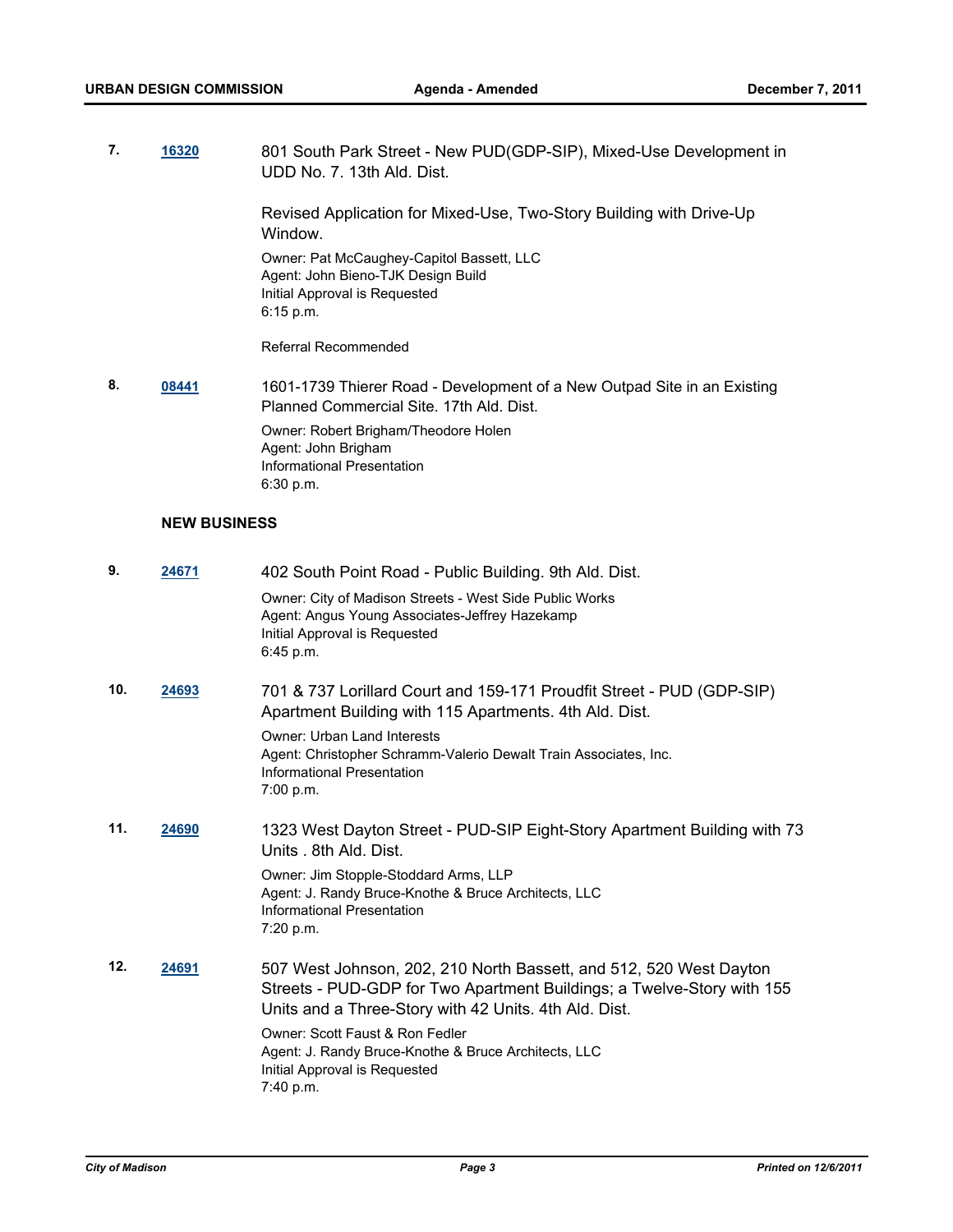**7. [16320](http://madison.legistar.com/gateway.aspx?M=L&ID=18157)** 801 South Park Street - New PUD(GDP-SIP), Mixed-Use Development in UDD No. 7. 13th Ald. Dist.

> Revised Application for Mixed-Use, Two-Story Building with Drive-Up Window.

Owner: Pat McCaughey-Capitol Bassett, LLC Agent: John Bieno-TJK Design Build Initial Approval is Requested 6:15 p.m.

Referral Recommended

**8. [08441](http://madison.legistar.com/gateway.aspx?M=L&ID=9634)** 1601-1739 Thierer Road - Development of a New Outpad Site in an Existing Planned Commercial Site. 17th Ald. Dist. Owner: Robert Brigham/Theodore Holen Agent: John Brigham Informational Presentation 6:30 p.m.

#### **NEW BUSINESS**

| 9.  | 24671 | 402 South Point Road - Public Building. 9th Ald. Dist.                                                                                                                                                |
|-----|-------|-------------------------------------------------------------------------------------------------------------------------------------------------------------------------------------------------------|
|     |       | Owner: City of Madison Streets - West Side Public Works<br>Agent: Angus Young Associates-Jeffrey Hazekamp<br>Initial Approval is Requested<br>6:45 p.m.                                               |
| 10. | 24693 | 701 & 737 Lorillard Court and 159-171 Proudfit Street - PUD (GDP-SIP)<br>Apartment Building with 115 Apartments. 4th Ald. Dist.                                                                       |
|     |       | <b>Owner: Urban Land Interests</b><br>Agent: Christopher Schramm-Valerio Dewalt Train Associates, Inc.<br>Informational Presentation<br>7:00 p.m.                                                     |
| 11. | 24690 | 1323 West Dayton Street - PUD-SIP Eight-Story Apartment Building with 73<br>Units 8th Ald Dist.                                                                                                       |
|     |       | Owner: Jim Stopple-Stoddard Arms, LLP<br>Agent: J. Randy Bruce-Knothe & Bruce Architects, LLC<br>Informational Presentation<br>7:20 p.m.                                                              |
| 12. | 24691 | 507 West Johnson, 202, 210 North Bassett, and 512, 520 West Dayton<br>Streets - PUD-GDP for Two Apartment Buildings; a Twelve-Story with 155<br>Units and a Three-Story with 42 Units. 4th Ald. Dist. |
|     |       | Owner: Scott Faust & Ron Fedler<br>Agent: J. Randy Bruce-Knothe & Bruce Architects, LLC<br>Initial Approval is Requested<br>7:40 p.m.                                                                 |
|     |       |                                                                                                                                                                                                       |